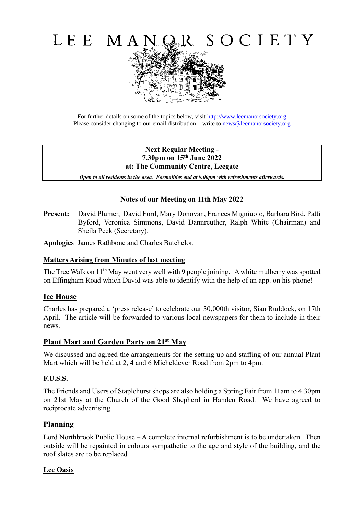

For further details on some of the topics below, visit [http://www.leemanorsociety.org](http://www.leemanorsociety.org/) Please consider changing to our email distribution – write to [news@leemanorsociety.org](mailto:news@leemanorsociety.org)

#### **Next Regular Meeting - 7.30pm on 15th June 2022 at: The Community Centre, Leegate**

*Open to all residents in the area. Formalities end at 9.00pm with refreshments afterwards.*

# **Notes of our Meeting on 11th May 2022**

**Present:** David Plumer, David Ford, Mary Donovan, Frances Migniuolo, Barbara Bird, Patti Byford, Veronica Simmons, David Dannreuther, Ralph White (Chairman) and Sheila Peck (Secretary).

**Apologies** James Rathbone and Charles Batchelor.

## **Matters Arising from Minutes of last meeting**

The Tree Walk on 11<sup>th</sup> May went very well with 9 people joining. A white mulberry was spotted on Effingham Road which David was able to identify with the help of an app. on his phone!

## **Ice House**

Charles has prepared a 'press release' to celebrate our 30,000th visitor, Sian Ruddock, on 17th April. The article will be forwarded to various local newspapers for them to include in their news.

## **Plant Mart and Garden Party on 21st May**

We discussed and agreed the arrangements for the setting up and staffing of our annual Plant Mart which will be held at 2, 4 and 6 Micheldever Road from 2pm to 4pm.

## **F.U.S.S.**

The Friends and Users of Staplehurst shops are also holding a Spring Fair from 11am to 4.30pm on 21st May at the Church of the Good Shepherd in Handen Road. We have agreed to reciprocate advertising

## **Planning**

Lord Northbrook Public House – A complete internal refurbishment is to be undertaken. Then outside will be repainted in colours sympathetic to the age and style of the building, and the roof slates are to be replaced

#### **Lee Oasis**